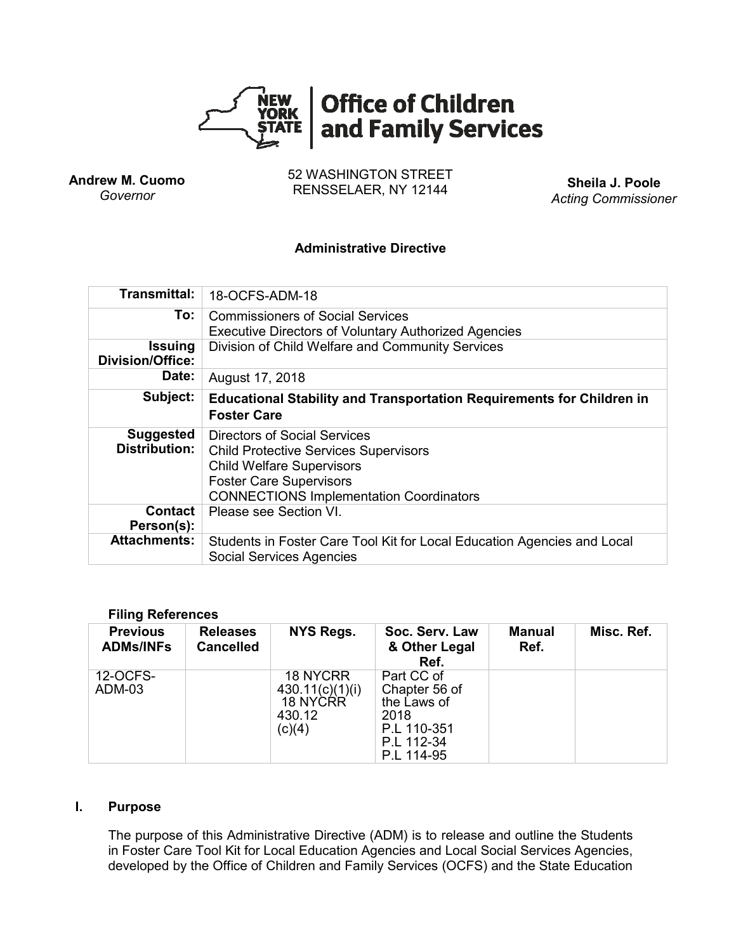

**Andrew M. Cuomo** *Governor*

52 WASHINGTON STREET RENSSELAER, NY 12144 **Sheila J. Poole**

*Acting Commissioner*

#### **Administrative Directive**

| Transmittal:                             | 18-OCFS-ADM-18                                                                                                                                                                                       |  |  |  |  |
|------------------------------------------|------------------------------------------------------------------------------------------------------------------------------------------------------------------------------------------------------|--|--|--|--|
| To:                                      | <b>Commissioners of Social Services</b><br><b>Executive Directors of Voluntary Authorized Agencies</b>                                                                                               |  |  |  |  |
| <b>Issuing</b><br>Division/Office:       | Division of Child Welfare and Community Services                                                                                                                                                     |  |  |  |  |
| Date:                                    | August 17, 2018                                                                                                                                                                                      |  |  |  |  |
| Subject:                                 | <b>Educational Stability and Transportation Requirements for Children in</b><br><b>Foster Care</b>                                                                                                   |  |  |  |  |
| <b>Suggested</b><br><b>Distribution:</b> | Directors of Social Services<br><b>Child Protective Services Supervisors</b><br><b>Child Welfare Supervisors</b><br><b>Foster Care Supervisors</b><br><b>CONNECTIONS Implementation Coordinators</b> |  |  |  |  |
| <b>Contact</b><br>Person(s):             | Please see Section VI.                                                                                                                                                                               |  |  |  |  |
| <b>Attachments:</b>                      | Students in Foster Care Tool Kit for Local Education Agencies and Local<br><b>Social Services Agencies</b>                                                                                           |  |  |  |  |

#### **Filing References**

| <b>Previous</b><br><b>ADMs/INFs</b> | <b>Releases</b><br><b>Cancelled</b> | NYS Regs.                                                          | Soc. Serv. Law<br>& Other Legal<br>Ref.                                                       | <b>Manual</b><br>Ref. | Misc. Ref. |
|-------------------------------------|-------------------------------------|--------------------------------------------------------------------|-----------------------------------------------------------------------------------------------|-----------------------|------------|
| 12-OCFS-<br>ADM-03                  |                                     | <b>18 NYCRR</b><br>430.11(c)(1)(i)<br>18 NYCRR<br>430.12<br>(c)(4) | Part CC of<br>Chapter 56 of<br>the Laws of<br>2018<br>P.L 110-351<br>P.L 112-34<br>P.L 114-95 |                       |            |

### **I. Purpose**

The purpose of this Administrative Directive (ADM) is to release and outline the Students in Foster Care Tool Kit for Local Education Agencies and Local Social Services Agencies, developed by the Office of Children and Family Services (OCFS) and the State Education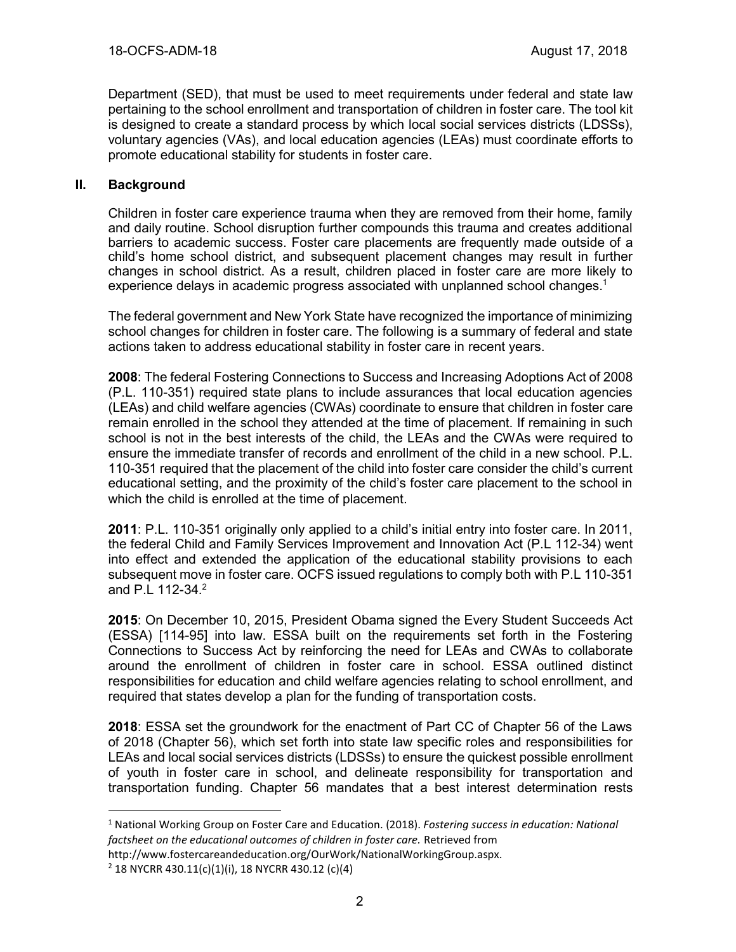Department (SED), that must be used to meet requirements under federal and state law pertaining to the school enrollment and transportation of children in foster care. The tool kit is designed to create a standard process by which local social services districts (LDSSs), voluntary agencies (VAs), and local education agencies (LEAs) must coordinate efforts to promote educational stability for students in foster care.

# **II. Background**

Children in foster care experience trauma when they are removed from their home, family and daily routine. School disruption further compounds this trauma and creates additional barriers to academic success. Foster care placements are frequently made outside of a child's home school district, and subsequent placement changes may result in further changes in school district. As a result, children placed in foster care are more likely to experience delays in academic progress associated with unplanned school changes. 1

The federal government and New York State have recognized the importance of minimizing school changes for children in foster care. The following is a summary of federal and state actions taken to address educational stability in foster care in recent years.

**2008**: The federal Fostering Connections to Success and Increasing Adoptions Act of 2008 (P.L. 110-351) required state plans to include assurances that local education agencies (LEAs) and child welfare agencies (CWAs) coordinate to ensure that children in foster care remain enrolled in the school they attended at the time of placement. If remaining in such school is not in the best interests of the child, the LEAs and the CWAs were required to ensure the immediate transfer of records and enrollment of the child in a new school. P.L. 110-351 required that the placement of the child into foster care consider the child's current educational setting, and the proximity of the child's foster care placement to the school in which the child is enrolled at the time of placement.

**2011**: P.L. 110-351 originally only applied to a child's initial entry into foster care. In 2011, the federal Child and Family Services Improvement and Innovation Act (P.L 112-34) went into effect and extended the application of the educational stability provisions to each subsequent move in foster care. OCFS issued regulations to comply both with P.L 110-351 and P.L 112-34.<sup>2</sup>

**2015**: On December 10, 2015, President Obama signed the Every Student Succeeds Act (ESSA) [114-95] into law. ESSA built on the requirements set forth in the Fostering Connections to Success Act by reinforcing the need for LEAs and CWAs to collaborate around the enrollment of children in foster care in school. ESSA outlined distinct responsibilities for education and child welfare agencies relating to school enrollment, and required that states develop a plan for the funding of transportation costs.

**2018**: ESSA set the groundwork for the enactment of Part CC of Chapter 56 of the Laws of 2018 (Chapter 56), which set forth into state law specific roles and responsibilities for LEAs and local social services districts (LDSSs) to ensure the quickest possible enrollment of youth in foster care in school, and delineate responsibility for transportation and transportation funding. Chapter 56 mandates that a best interest determination rests

 $\overline{a}$ 

<sup>1</sup> National Working Group on Foster Care and Education. (2018). *Fostering success in education: National factsheet on the educational outcomes of children in foster care.* Retrieved from

http://www.fostercareandeducation.org/OurWork/NationalWorkingGroup.aspx.

 $2$  18 NYCRR 430.11(c)(1)(i), 18 NYCRR 430.12 (c)(4)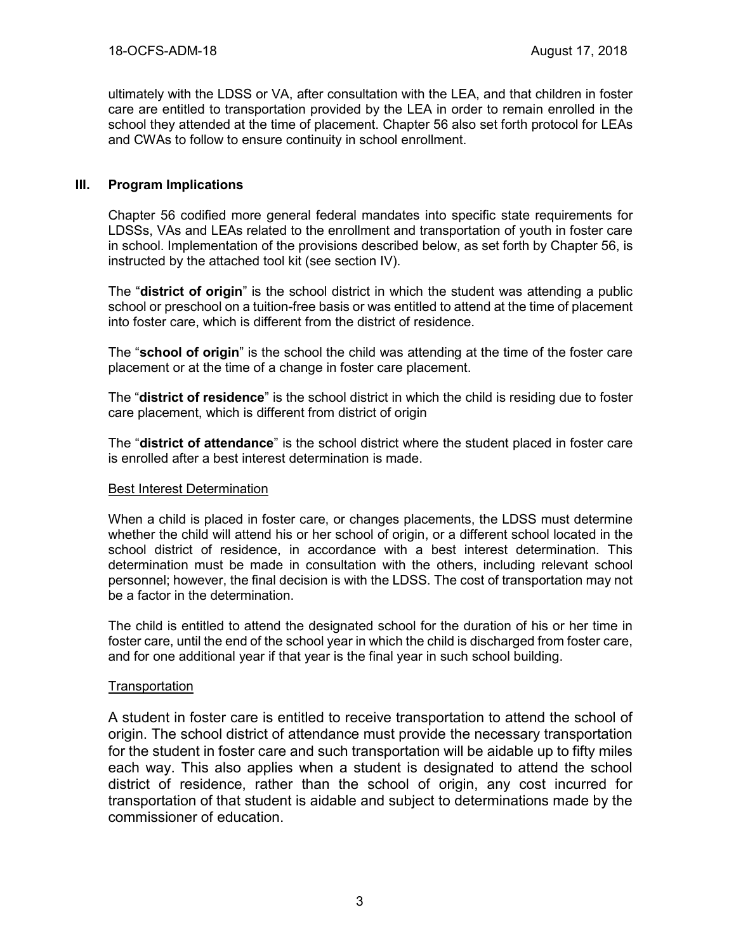ultimately with the LDSS or VA, after consultation with the LEA, and that children in foster care are entitled to transportation provided by the LEA in order to remain enrolled in the school they attended at the time of placement. Chapter 56 also set forth protocol for LEAs and CWAs to follow to ensure continuity in school enrollment.

# **III. Program Implications**

Chapter 56 codified more general federal mandates into specific state requirements for LDSSs, VAs and LEAs related to the enrollment and transportation of youth in foster care in school. Implementation of the provisions described below, as set forth by Chapter 56, is instructed by the attached tool kit (see section IV).

The "**district of origin**" is the school district in which the student was attending a public school or preschool on a tuition-free basis or was entitled to attend at the time of placement into foster care, which is different from the district of residence.

The "**school of origin**" is the school the child was attending at the time of the foster care placement or at the time of a change in foster care placement.

The "**district of residence**" is the school district in which the child is residing due to foster care placement, which is different from district of origin

The "**district of attendance**" is the school district where the student placed in foster care is enrolled after a best interest determination is made.

### Best Interest Determination

When a child is placed in foster care, or changes placements, the LDSS must determine whether the child will attend his or her school of origin, or a different school located in the school district of residence, in accordance with a best interest determination. This determination must be made in consultation with the others, including relevant school personnel; however, the final decision is with the LDSS. The cost of transportation may not be a factor in the determination.

The child is entitled to attend the designated school for the duration of his or her time in foster care, until the end of the school year in which the child is discharged from foster care, and for one additional year if that year is the final year in such school building.

### **Transportation**

A student in foster care is entitled to receive transportation to attend the school of origin. The school district of attendance must provide the necessary transportation for the student in foster care and such transportation will be aidable up to fifty miles each way. This also applies when a student is designated to attend the school district of residence, rather than the school of origin, any cost incurred for transportation of that student is aidable and subject to determinations made by the commissioner of education.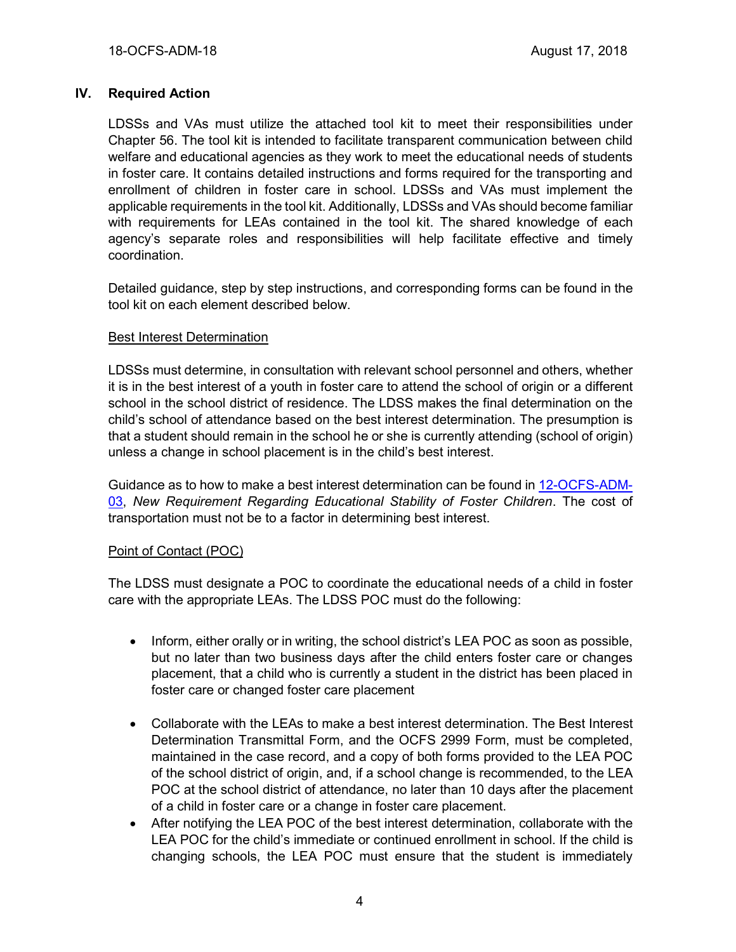# **IV. Required Action**

LDSSs and VAs must utilize the attached tool kit to meet their responsibilities under Chapter 56. The tool kit is intended to facilitate transparent communication between child welfare and educational agencies as they work to meet the educational needs of students in foster care. It contains detailed instructions and forms required for the transporting and enrollment of children in foster care in school. LDSSs and VAs must implement the applicable requirements in the tool kit. Additionally, LDSSs and VAs should become familiar with requirements for LEAs contained in the tool kit. The shared knowledge of each agency's separate roles and responsibilities will help facilitate effective and timely coordination.

Detailed guidance, step by step instructions, and corresponding forms can be found in the tool kit on each element described below.

### Best Interest Determination

LDSSs must determine, in consultation with relevant school personnel and others, whether it is in the best interest of a youth in foster care to attend the school of origin or a different school in the school district of residence. The LDSS makes the final determination on the child's school of attendance based on the best interest determination. The presumption is that a student should remain in the school he or she is currently attending (school of origin) unless a change in school placement is in the child's best interest.

Guidance as to how to make a best interest determination can be found in [12-OCFS-ADM-](https://ocfs.ny.gov/main/policies/external/OCFS_2012/ADMs/12-OCFS-ADM-03%20New%20Requirement%20Regarding%20Educational%20Stability%20of%20Foster%20Children.pdf)[03,](https://ocfs.ny.gov/main/policies/external/OCFS_2012/ADMs/12-OCFS-ADM-03%20New%20Requirement%20Regarding%20Educational%20Stability%20of%20Foster%20Children.pdf) *New Requirement Regarding Educational Stability of Foster Children*. The cost of transportation must not be to a factor in determining best interest.

### Point of Contact (POC)

The LDSS must designate a POC to coordinate the educational needs of a child in foster care with the appropriate LEAs. The LDSS POC must do the following:

- Inform, either orally or in writing, the school district's LEA POC as soon as possible, but no later than two business days after the child enters foster care or changes placement, that a child who is currently a student in the district has been placed in foster care or changed foster care placement
- Collaborate with the LEAs to make a best interest determination. The Best Interest Determination Transmittal Form, and the OCFS 2999 Form, must be completed, maintained in the case record, and a copy of both forms provided to the LEA POC of the school district of origin, and, if a school change is recommended, to the LEA POC at the school district of attendance, no later than 10 days after the placement of a child in foster care or a change in foster care placement.
- After notifying the LEA POC of the best interest determination, collaborate with the LEA POC for the child's immediate or continued enrollment in school. If the child is changing schools, the LEA POC must ensure that the student is immediately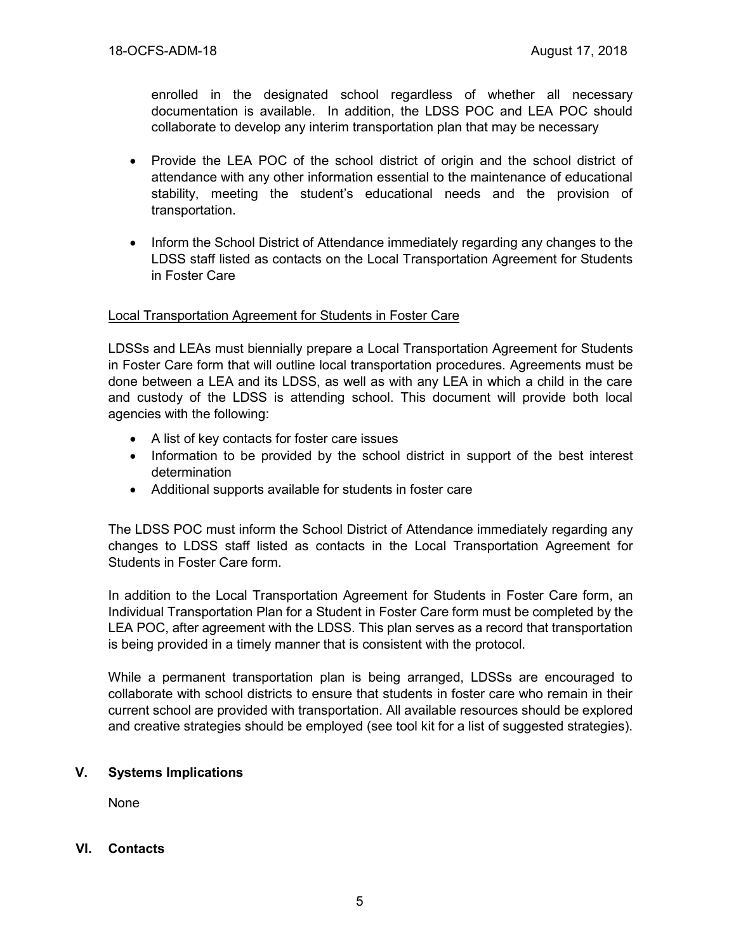enrolled in the designated school regardless of whether all necessary documentation is available. In addition, the LDSS POC and LEA POC should collaborate to develop any interim transportation plan that may be necessary

- Provide the LEA POC of the school district of origin and the school district of attendance with any other information essential to the maintenance of educational stability, meeting the student's educational needs and the provision of transportation.
- Inform the School District of Attendance immediately regarding any changes to the LDSS staff listed as contacts on the Local Transportation Agreement for Students in Foster Care

### Local Transportation Agreement for Students in Foster Care

LDSSs and LEAs must biennially prepare a Local Transportation Agreement for Students in Foster Care form that will outline local transportation procedures. Agreements must be done between a LEA and its LDSS, as well as with any LEA in which a child in the care and custody of the LDSS is attending school. This document will provide both local agencies with the following:

- A list of key contacts for foster care issues
- Information to be provided by the school district in support of the best interest determination
- Additional supports available for students in foster care

The LDSS POC must inform the School District of Attendance immediately regarding any changes to LDSS staff listed as contacts in the Local Transportation Agreement for Students in Foster Care form.

In addition to the Local Transportation Agreement for Students in Foster Care form, an Individual Transportation Plan for a Student in Foster Care form must be completed by the LEA POC, after agreement with the LDSS. This plan serves as a record that transportation is being provided in a timely manner that is consistent with the protocol.

While a permanent transportation plan is being arranged, LDSSs are encouraged to collaborate with school districts to ensure that students in foster care who remain in their current school are provided with transportation. All available resources should be explored and creative strategies should be employed (see tool kit for a list of suggested strategies).

# **V. Systems Implications**

None

### **VI. Contacts**